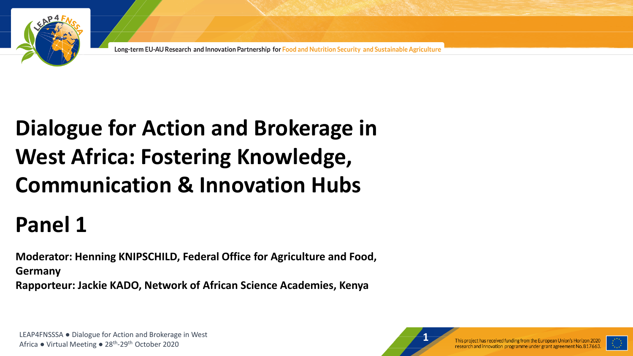

Long-term EU-AU Research and Innovation Partnership for Food and Nutrition Security and Sustainable Agriculture

# Pre-Meridian and Brokersee in **Dialogue for Action and Brokerage in** *Dialogue* **for Action and Brokerage in** *Dialogue* **West Africa: Fostering Knowledge, Communication & Innovation Hubs**

# **Panel 1**

**Moderator: Henning KNIPSCHILD, Federal Office for Agriculture and Food, Germany Rapporteur: Jackie KADO, Network of African Science Academies, Kenya**

LEAP4FNSSSA ● Dialogue for Action and Brokerage in West<br>Africa ● Virtual Meeting ● 28<sup>th</sup>-29<sup>th</sup> October 2020<br>Africa ● Virtual Meeting ● 28<sup>th</sup>-29<sup>th</sup> October 2020 LEAP4FNSSSA ● Dialogue for Action and Brokerage in West



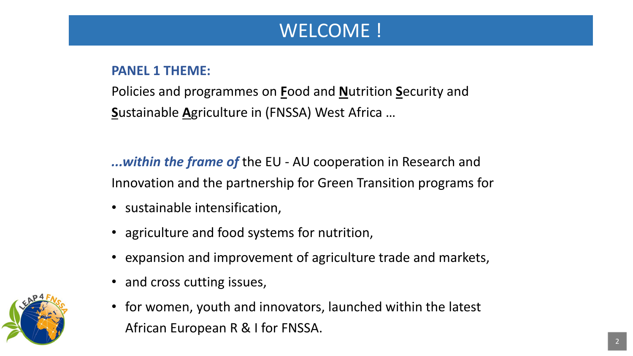### WELCOME !

### **PANEL 1 THEME:**

Policies and programmes on **F**ood and **N**utrition **S**ecurity and **S**ustainable **A**griculture in (FNSSA) West Africa …

*...within the frame of* the EU - AU cooperation in Research and Innovation and the partnership for Green Transition programs for

- sustainable intensification,
- agriculture and food systems for nutrition,
- expansion and improvement of agriculture trade and markets,
- and cross cutting issues,
- **LEAP - Long-term EU-AU Partnerships** Mr Stefan A. Haffner <sup>2</sup> • for women, youth and innovators, launched within the latest African European R & I for FNSSA.

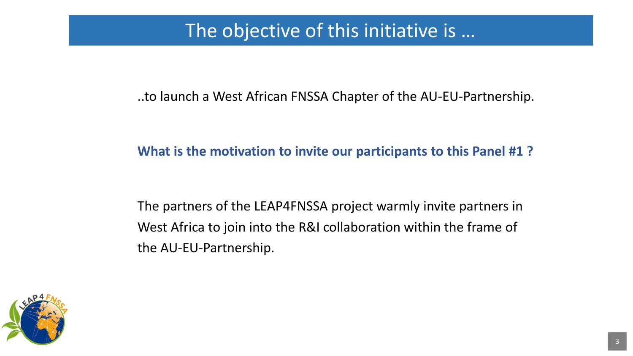### The objective of this initiative is …

..to launch a West African FNSSA Chapter of the AU-EU-Partnership.

### **What is the motivation to invite our participants to this Panel #1 ?**

The partners of the LEAP4FNSSA project warmly invite partners in West Africa to join into the R&I collaboration within the frame of the AU-EU-Partnership.

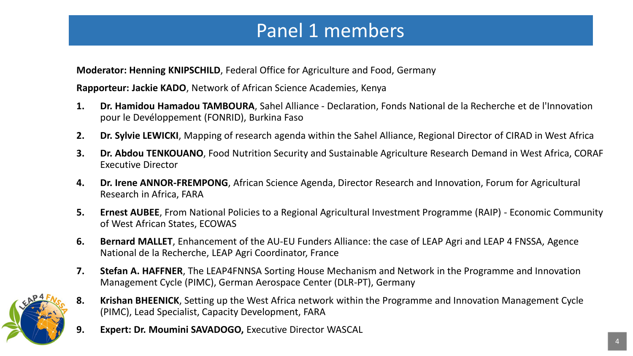### Panel 1 members

**Moderator: Henning KNIPSCHILD**, Federal Office for Agriculture and Food, Germany

**Rapporteur: Jackie KADO**, Network of African Science Academies, Kenya

- **1. Dr. Hamidou Hamadou TAMBOURA**, Sahel Alliance Declaration, Fonds National de la Recherche et de l'Innovation pour le Devéloppement (FONRID), Burkina Faso
- **2. Dr. Sylvie LEWICKI**, Mapping of research agenda within the Sahel Alliance, Regional Director of CIRAD in West Africa
- **3. Dr. Abdou TENKOUANO**, Food Nutrition Security and Sustainable Agriculture Research Demand in West Africa, CORAF Executive Director
- **4. Dr. Irene ANNOR-FREMPONG**, African Science Agenda, Director Research and Innovation, Forum for Agricultural Research in Africa, FARA
- **5. Ernest AUBEE**, From National Policies to a Regional Agricultural Investment Programme (RAIP) Economic Community of West African States, ECOWAS
- **6. Bernard MALLET**, Enhancement of the AU-EU Funders Alliance: the case of LEAP Agri and LEAP 4 FNSSA, Agence National de la Recherche, LEAP Agri Coordinator, France
- **7. Stefan A. HAFFNER**, The LEAP4FNNSA Sorting House Mechanism and Network in the Programme and Innovation Management Cycle (PIMC), German Aerospace Center (DLR-PT), Germany



**LEAP - Long-term EU-AU Partnerships** Mr Stefan A. Haffner <sup>4</sup> **9. Expert: Dr. Moumini SAVADOGO,** Executive Director WASCAL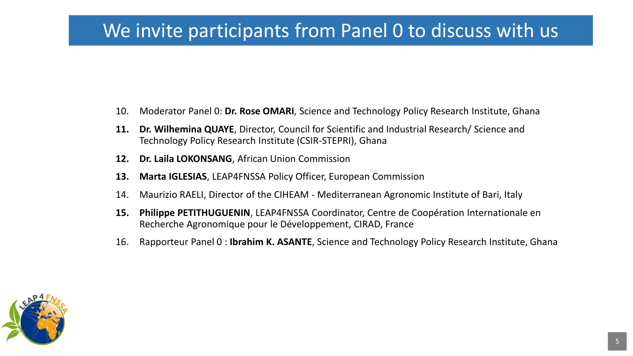### We invite participants from Panel 0 to discuss with us

- 10. Moderator Panel 0: **Dr. Rose OMARI**, Science and Technology Policy Research Institute, Ghana
- **11. Dr. Wilhemina QUAYE**, Director, Council for Scientific and Industrial Research/ Science and Technology Policy Research Institute (CSIR-STEPRI), Ghana
- **12. Dr. Laila LOKONSANG**, African Union Commission
- **13. Marta IGLESIAS**, LEAP4FNSSA Policy Officer, European Commission
- 14. Maurizio RAELI, Director of the CIHEAM Mediterranean Agronomic Institute of Bari, Italy
- **15. Philippe PETITHUGUENIN**, LEAP4FNSSA Coordinator, Centre de Coopération Internationale en Recherche Agronomique pour le Développement, CIRAD, France
- 16. Rapporteur Panel 0 : **Ibrahim K. ASANTE**, Science and Technology Policy Research Institute, Ghana

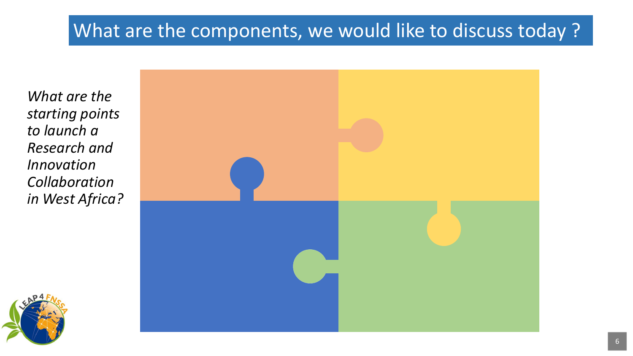*What are the starting points to launch a Research and Innovation Collaboration in West Africa?*



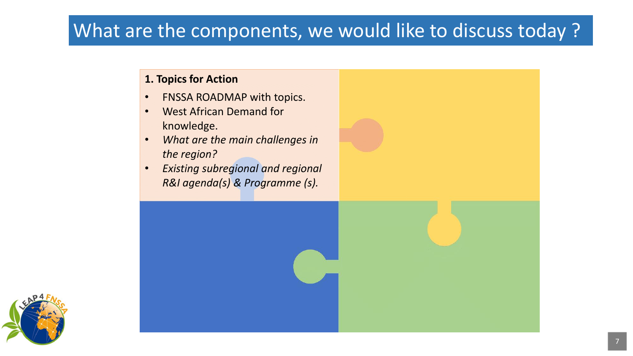#### **1. Topics for Action**

- FNSSA ROADMAP with topics.
- West African Demand for knowledge.
- *What are the main challenges in the region?*
- *Existing subregional and regional R&I agenda(s) & Programme (s).*

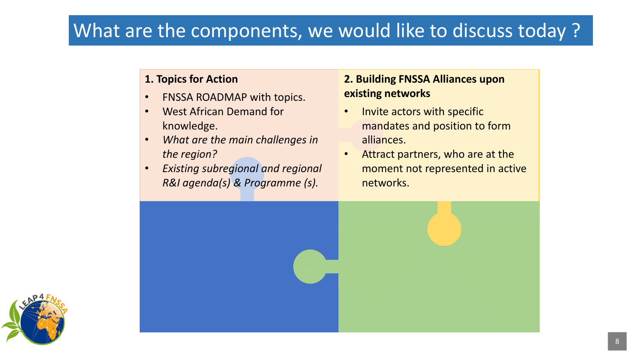#### **1. Topics for Action**

- FNSSA ROADMAP with topics.
- West African Demand for knowledge.
- *What are the main challenges in the region?*
- *Existing subregional and regional R&I agenda(s) & Programme (s).*

#### **2. Building FNSSA Alliances upon existing networks**

- Invite actors with specific mandates and position to form alliances.
- Attract partners, who are at the moment not represented in active networks.



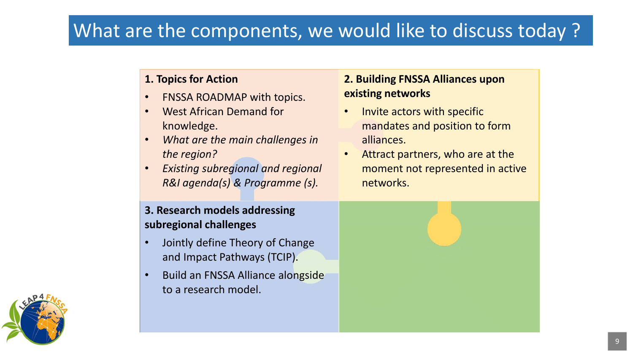#### **1. Topics for Action**

- FNSSA ROADMAP with topics.
- West African Demand for knowledge.
- *What are the main challenges in the region?*
- *Existing subregional and regional R&I agenda(s) & Programme (s).*

#### **2. Building FNSSA Alliances upon existing networks**

- Invite actors with specific mandates and position to form alliances.
- Attract partners, who are at the moment not represented in active networks.

#### **3. Research models addressing subregional challenges**

- Jointly define Theory of Change and Impact Pathways (TCIP).
- Build an FNSSA Alliance alongside to a research model.

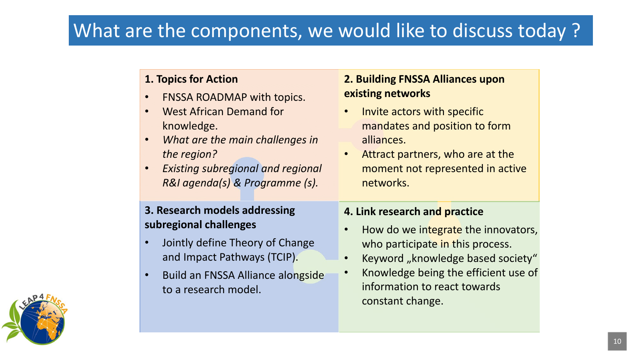#### **1. Topics for Action**

- FNSSA ROADMAP with topics.
- West African Demand for knowledge.
- *What are the main challenges in the region?*
- *Existing subregional and regional R&I agenda(s) & Programme (s).*

#### **3. Research models addressing subregional challenges**

- Jointly define Theory of Change and Impact Pathways (TCIP).
- Build an FNSSA Alliance alongside to a research model.

#### **2. Building FNSSA Alliances upon existing networks**

- Invite actors with specific mandates and position to form alliances.
- Attract partners, who are at the moment not represented in active networks.

#### **4. Link research and practice**

- How do we integrate the innovators, who participate in this process.
- Keyword "knowledge based society"
- Knowledge being the efficient use of information to react towards constant change.

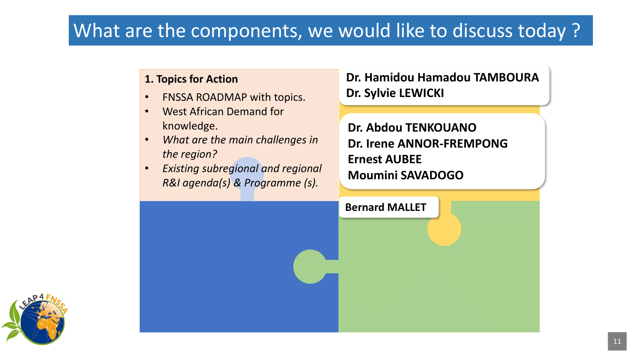#### **1. Topics for Action**

- FNSSA ROADMAP with topics.
- West African Demand for knowledge.
- *What are the main challenges in the region?*
- *Existing subregional and regional R&I agenda(s) & Programme (s).*

### **Dr. Hamidou Hamadou TAMBOURA Dr. Sylvie LEWICKI**

**Dr. Abdou TENKOUANO Dr. Irene ANNOR-FREMPONG Ernest AUBEE Moumini SAVADOGO**



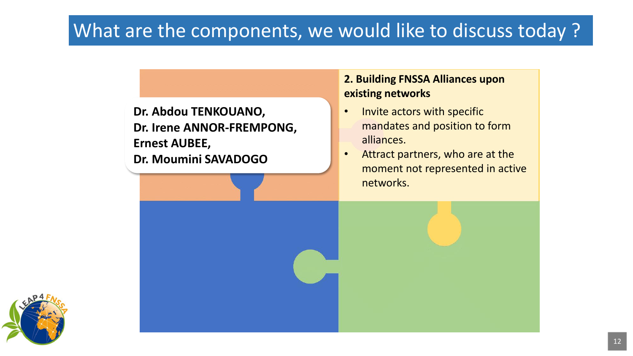**Dr. Abdou TENKOUANO, Dr. Irene ANNOR-FREMPONG, Ernest AUBEE, Dr. Moumini SAVADOGO** 

#### **2. Building FNSSA Alliances upon existing networks**

- Invite actors with specific mandates and position to form alliances.
- Attract partners, who are at the moment not represented in active networks.

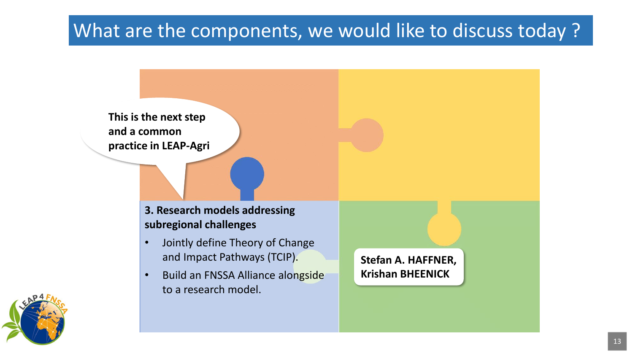

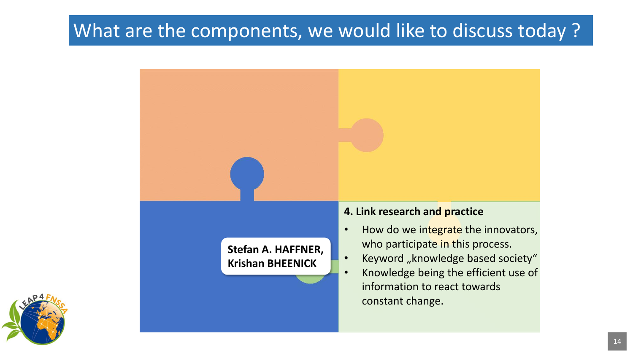

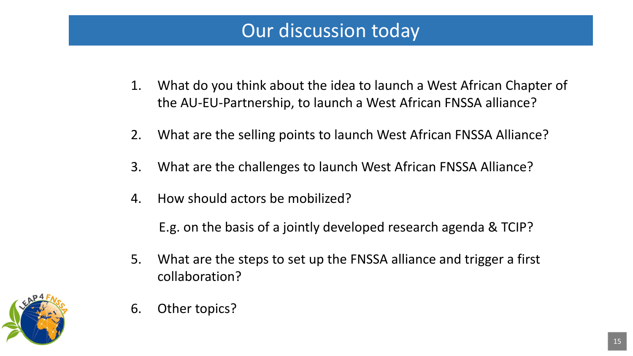### Our discussion today

- 1. What do you think about the idea to launch a West African Chapter of the AU-EU-Partnership, to launch a West African FNSSA alliance?
- 2. What are the selling points to launch West African FNSSA Alliance?
- 3. What are the challenges to launch West African FNSSA Alliance?
- 4. How should actors be mobilized?

E.g. on the basis of a jointly developed research agenda & TCIP?

5. What are the steps to set up the FNSSA alliance and trigger a first collaboration?



6. Other topics?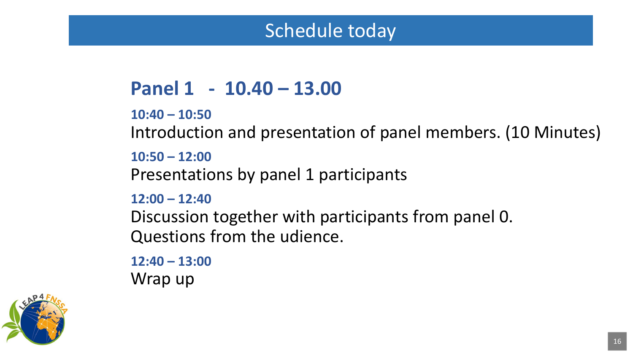### Schedule today

## **Panel 1 - 10.40 – 13.00**

```
10:40 – 10:50
```
Introduction and presentation of panel members. (10 Minutes)

**10:50 – 12:00** 

Presentations by panel 1 participants

**12:00 – 12:40** 

Discussion together with participants from panel 0. Questions from the udience.

**12:40 – 13:00** Wrap up